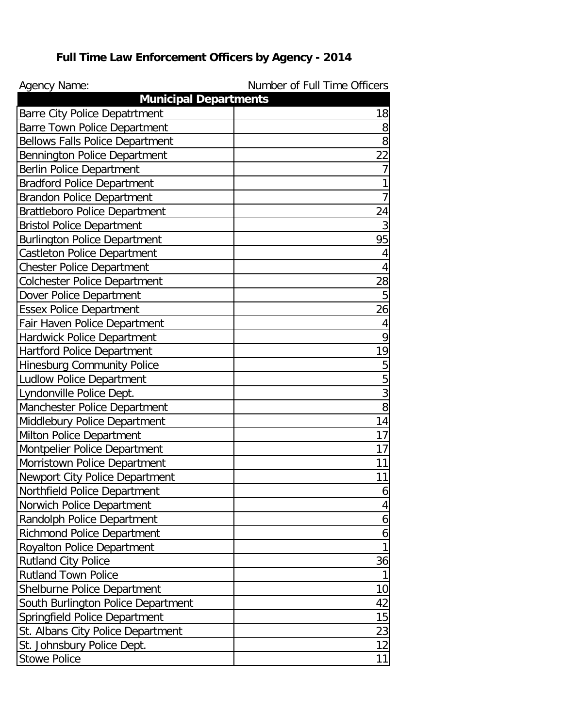## **Full Time Law Enforcement Officers by Agency - 2014**

| <b>Agency Name:</b>                                                    | Number of Full Time Officers |
|------------------------------------------------------------------------|------------------------------|
| <b>Municipal Departments</b><br><b>Barre City Police Depatrtment</b>   | 18                           |
|                                                                        | 8                            |
| Barre Town Police Department<br><b>Bellows Falls Police Department</b> | 8                            |
| Bennington Police Department                                           | 22                           |
|                                                                        | $\overline{7}$               |
| <b>Berlin Police Department</b><br><b>Bradford Police Department</b>   | 1                            |
|                                                                        | $\overline{7}$               |
| <b>Brandon Police Department</b>                                       | 24                           |
| <b>Brattleboro Police Department</b>                                   |                              |
| <b>Bristol Police Department</b>                                       | $\overline{3}$<br>95         |
| <b>Burlington Police Department</b>                                    |                              |
| <b>Castleton Police Department</b>                                     | 4                            |
| <b>Chester Police Department</b>                                       | 4                            |
| <b>Colchester Police Department</b>                                    | 28                           |
| Dover Police Department                                                | 5                            |
| <b>Essex Police Department</b>                                         | 26                           |
| Fair Haven Police Department                                           | 4                            |
| Hardwick Police Department                                             | 9                            |
| <b>Hartford Police Department</b>                                      | 19                           |
| <b>Hinesburg Community Police</b>                                      | 5                            |
| <b>Ludlow Police Department</b>                                        | 5                            |
| Lyndonville Police Dept.                                               | 3                            |
| Manchester Police Department                                           | 8                            |
| Middlebury Police Department                                           | 14                           |
| Milton Police Department                                               | 17                           |
| Montpelier Police Department                                           | 17                           |
| Morristown Police Department                                           | 11                           |
| Newport City Police Department                                         | 11                           |
| Northfield Police Department                                           | 6                            |
| Norwich Police Department                                              | 4                            |
| Randolph Police Department                                             | 6                            |
| <b>Richmond Police Department</b>                                      | 6                            |
| <b>Royalton Police Department</b>                                      | 1                            |
| <b>Rutland City Police</b>                                             | 36                           |
| <b>Rutland Town Police</b>                                             | 1                            |
| Shelburne Police Department                                            | 10                           |
| South Burlington Police Department                                     | 42                           |
| Springfield Police Department                                          | 15                           |
| St. Albans City Police Department                                      | 23                           |
| St. Johnsbury Police Dept.                                             | 12                           |
| <b>Stowe Police</b>                                                    | 11                           |